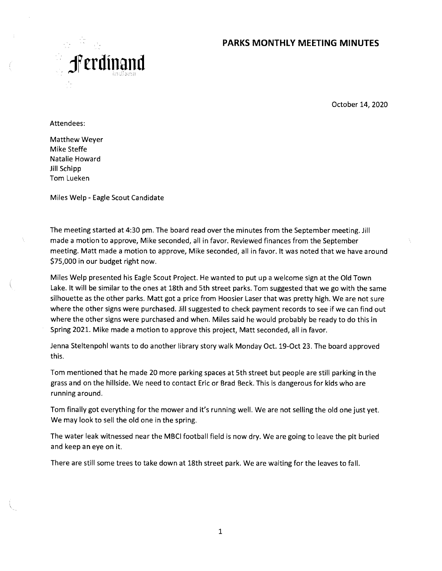### **PARKS MONTHLY MEETING MINUTES**



October 14, 2020

Attendees:

Matthew Weyer Mike Steffe Natalie Howard Jill Schipp Tom Lueken

Miles Welp - Eagle Scout Candidate

The meeting started at 4:30 pm. The board read over the minutes from the September meeting. Jill made a motion to approve, Mike seconded, all in favor. Reviewed finances from the September meeting. Matt made a motion to approve, Mike seconded, all in favor. lt was noted that we have around \$75,000 in our budget right now.

Miles Welp presented his Eagle Scout Project. He wanted to put up a welcome sign at the Old Town Lake. lt will be similar to the ones at 18th and 5th street parks. Tom suggested that we go with the same silhouette as the other parks. Matt got a price from Hoosier Laser that was pretty high. We are not sure where the other signs were purchased. Jill suggested to check payment records to see if we can find out where the other signs were purchased and when. Miles said he would probably be ready to do this in Spring 2021. Mike made a motion to approve this project, Matt seconded, all in favor.

Jenna Steltenpohl wants to do another library story walk Monday Oct. 19-Oct 23. The board approved this.

Tom mentioned that he made 20 more parking spaces at 5th street but people are still parking in the grass and on the hillside. We need to contact Eric or Brad Beck. This is dangerous for kids who are running around.

Tom finally got everything for the mower and it's running well. We are not selling the old one just yet. We may look to sell the old one in the spring.

The water leak witnessed near the MBCI football field is now dry. We are going to leave the pit buried and keep an eye on it.

There are still some trees to take down at 18th street park. We are waiting for the leaves to fall.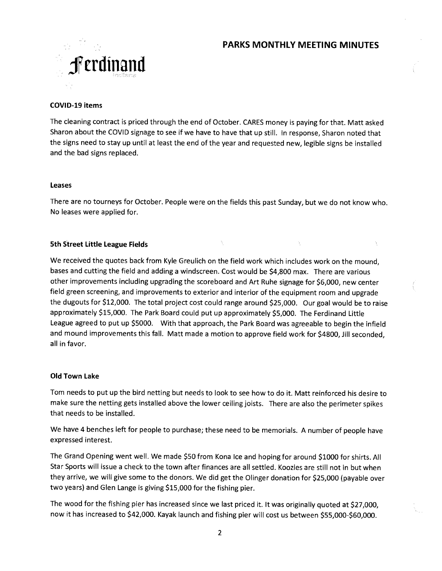# **PARKS MONTHLY MEETING MINUTES**



### **COVID-19 items**

The cleaning contract is priced through the end of October. CARES money is paying for that. Matt asked Sharon about the COVID signage to see if we have to have that up still. In response, Sharon noted that the signs need to stay up until at least the end of the year and requested new, legible signs be installed and the bad signs replaced.

#### **Leases**

There are no tourneys for October. People were on the fields this past Sunday, but we do not know who. No leases were applied for.

#### **5th Street Little League Fields**

We received the quotes back from Kyle Greulich on the field work which includes work on the mound, bases and cutting the field and adding a windscreen. Cost would be \$4,800 max. There are various other improvements including upgrading the scoreboard and Art Ruhe signage for \$6,000, new center field green screening, and improvements to exterior and interior of the equipment room and upgrade the dugouts for \$12,000. The total project cost could range around \$25,000. Our goal would be to raise approximately \$15,000. The Park Board could put up approximately \$5,000. The Ferdinand Little League agreed to put up \$5000. With that approach, the Park Board was agreeable to begin the infield and mound improvements this fall. Matt made a motion to approve field work for \$4800, Jill seconded, all in favor.

#### **Old Town Lake**

Tom needs to put up the bird netting but needs to look to see how to do it. Matt reinforced his desire to make sure the netting gets installed above the lower ceiling joists. There are also the perimeter spikes that needs to be installed.

We have 4 benches left for people to purchase; these need to be memorials. A number of people have expressed interest.

The Grand Opening went well. We made \$50 from Kona Ice and hoping for around \$1000 for shirts. All Star Sports will issue a check to the town after finances are all settled. Koozies are still not in but when they arrive, we will give some to the donors. We did get the Olinger donation for \$25,000 (payable over two years) and Glen Lange is giving \$15,000 for the fishing pier.

The wood for the fishing pier has increased since we last priced it. lt was originally quoted at \$27,000, now it has increased to \$42,000. Kayak launch and fishing pier will cost us between \$55,000-\$60,000.